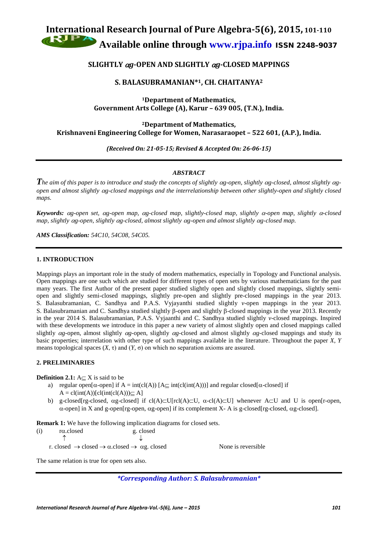# **International Research Journal of Pure Algebra-5(6), 2015, 101-110 Available online through [www.rjpa.info](http://www.rjpa.info/)** ISSN 2248–9037

# **SLIGHTLY** <sup>α</sup>*g***-OPEN AND SLIGHTLY** <sup>α</sup>*g***-CLOSED MAPPINGS**

# **S. BALASUBRAMANIAN\*1, CH. CHAITANYA2**

**1Department of Mathematics, Government Arts College (A), Karur – 639 005, (T.N.), India.**

**2Department of Mathematics, Krishnaveni Engineering College for Women, Narasaraopet – 522 601, (A.P.), India.**

*(Received On: 21-05-15; Revised & Accepted On: 26-06-15)*

# *ABSTRACT*

*The aim of this paper is to introduce and study the concepts of slightly* <sup>α</sup>*g-open, slightly* α*g-closed, almost slightly* <sup>α</sup>*gopen and almost slightly* α*g-closed mappings and the interrelationship between other slightly-open and slightly closed maps.*

*Keywords:* <sup>α</sup>*g-open set,* α*g-open map,* α*g-closed map, slightly-closed map, slightly* <sup>α</sup>*-open map, slightly* <sup>α</sup>*-closed map, slightly* α*g-open, slightly* α*g-closed, almost slightly* α*g-open and almost slightly* α*g-closed map.*

*AMS Classification: 54C10, 54C08, 54C05.*

### **1. INTRODUCTION**

Mappings plays an important role in the study of modern mathematics, especially in Topology and Functional analysis. Open mappings are one such which are studied for different types of open sets by various mathematicians for the past many years. The first Author of the present paper studied slightly open and slightly closed mappings, slightly semiopen and slightly semi-closed mappings, slightly pre-open and slightly pre-closed mappings in the year 2013. S. Balasubramanian, C. Sandhya and P.A.S. Vyjayanthi studied slightly *v*-open mappings in the year 2013. S. Balasubramanian and C. Sandhya studied slightly β-open and slightly β-closed mappings in the year 2013. Recently in the year 2014 S. Balasubramanian, P.A.S. Vyjaanthi and C. Sandhya studied slightly *v*-closed mappings. Inspired with these developments we introduce in this paper a new variety of almost slightly open and closed mappings called slightly α*g-*open, almost slightly α*g-*open, slightly α*g-*closed and almost slightly α*g-*closed mappings and study its basic properties; interrelation with other type of such mappings available in the literature. Throughout the paper *X*, *Y* means topological spaces  $(X, \tau)$  and  $(Y, \sigma)$  on which no separation axioms are assured.

## **2. PRELIMINARIES**

**Definition 2.1:** A⊂ X is said to be

- a) regular open[ $\alpha$ -open] if  $A = \text{int}(cl(A))$  [ $A \subseteq \text{int}(cl(int(A)))$ ] and regular closed[ $\alpha$ -closed] if  $A = cl(int(A))[cl(int(cl(A))) \subset A]$
- b) g-closed[rg-closed, αg-closed] if cl(A)⊂U[rcl(A)⊂U, α-cl(A)⊂U] whenever A⊂U and U is open[r-open, α-open] in X and g-open[rg-open, αg-open] if its complement X- A is g-closed[rg-closed, αg-closed].

**Remark 1:** We have the following implication diagrams for closed sets.

| (i) | $rac{\text{closed}}{\text{closed}}$ | g. closed                                                                                  |
|-----|-------------------------------------|--------------------------------------------------------------------------------------------|
|     |                                     |                                                                                            |
|     |                                     | r. closed $\rightarrow$ closed $\rightarrow \alpha$ . closed $\rightarrow \alpha$ g. close |

red → **Rome** is reversible

The same relation is true for open sets also.

*\*Corresponding Author: S. Balasubramanian\**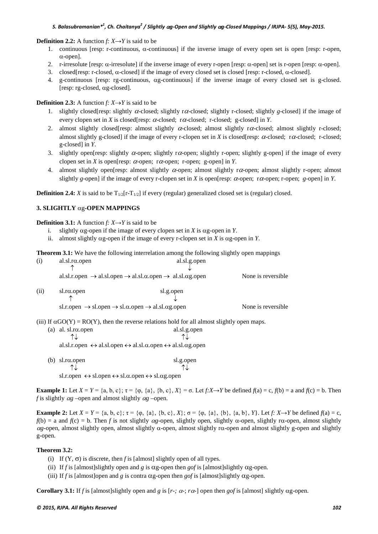#### **Definition 2.2:** A function  $f: X \rightarrow Y$  is said to be

- 1. continuous [resp: r-continuous, α-continuous] if the inverse image of every open set is open [resp: r-open, α-open].
- 2. r-irresolute [resp: α-irresolute] if the inverse image of every r-open [resp: α-open] set is r-open [resp: α-open].
- 3. closed[resp: r-closed,  $\alpha$ -closed] if the image of every closed set is closed [resp: r-closed,  $\alpha$ -closed].
- 4. g-continuous [resp: rg-continuous, αg-continuous] if the inverse image of every closed set is g-closed. [resp: rg-closed, αg-closed].

## **Definition 2.3:** A function  $f: X \rightarrow Y$  is said to be

- 1. slightly closed[resp: slightly α-closed; slightly rα-closed; slightly r-closed; slightly *g*-closed] if the image of every clopen set in *X* is closed[resp:  $\alpha$ -closed; r $\alpha$ -closed; r-closed; g-closed] in *Y*.
- 2. almost slightly closed[resp: almost slightly  $\alpha$ -closed; almost slightly r $\alpha$ -closed; almost slightly r-closed; almost slightly g-closed] if the image of every r-clopen set in *X* is closed[resp:  $\alpha$ -closed; r $\alpha$ -closed; r-closed; g-closed] in *Y*.
- 3. slightly open[resp: slightly  $\alpha$ -open; slightly r $\alpha$ -open; slightly r-open; slightly g-open] if the image of every clopen set in *X* is open[resp:  $\alpha$ -open; r $\alpha$ -open; r-open; g-open] in *Y*.
- 4. almost slightly open[resp: almost slightly  $\alpha$ -open; almost slightly r $\alpha$ -open; almost slightly r-open; almost slightly *g*-open] if the image of every r-clopen set in *X* is open[resp:  $\alpha$ -open;  $\tau \alpha$ -open; *g*-open] in *Y*.

**Definition 2.4:** *X* is said to be  $T_{1/2}[r-T_{1/2}]$  if every (regular) generalized closed set is (regular) closed.

# **3. SLIGHTLY** αg*-***OPEN MAPPINGS**

**Definition 3.1:** A function *f:*  $X \rightarrow Y$  is said to be

- i. slightly αg*-*open if the image of every clopen set in *X* is αg*-*open in *Y*.
- ii. almost slightly αg*-*open if the image of every r-clopen set in *X* is αg*-*open in *Y*.

**Theorem 3.1:** We have the following interrelation among the following slightly open mappings

| (i)  | al.sl. $r\alpha$ .open                                                                                                     | al.sl.g.open |                     |  |
|------|----------------------------------------------------------------------------------------------------------------------------|--------------|---------------------|--|
|      |                                                                                                                            |              |                     |  |
|      | al.sl.r.open $\rightarrow$ al.sl.open $\rightarrow$ al.sl. $\alpha$ .open $\rightarrow$ al.sl. $\alpha$ g.open             |              | None is reversible. |  |
| (ii) | $sl.r\alpha$ .open                                                                                                         | sl.g.open    |                     |  |
|      |                                                                                                                            |              |                     |  |
|      | sl.r.open $\rightarrow$ sl.open $\rightarrow$ sl. $\alpha$ .open $\rightarrow$ al.sl. $\alpha$ g.open                      |              | None is reversible. |  |
|      | (iii) If $\alpha$ GO(Y) = RO(Y), then the reverse relations hold for all almost slightly open maps.                        |              |                     |  |
|      | (a) al. sl. $r\alpha$ .open                                                                                                | al.sl.g.open |                     |  |
|      |                                                                                                                            |              |                     |  |
|      | al.sl.r.open $\leftrightarrow$ al.sl.open $\leftrightarrow$ al.sl. $\alpha$ .open $\leftrightarrow$ al.sl. $\alpha$ g.open |              |                     |  |
| (b)  | $sl.r\alpha$ .open                                                                                                         | sl.g.open    |                     |  |
|      |                                                                                                                            |              |                     |  |

sl.r.open  $\leftrightarrow$  sl.open  $\leftrightarrow$  sl. $\alpha$ .open  $\leftrightarrow$  sl. $\alpha$ g.open

**Example 1:** Let  $X = Y = \{a, b, c\}$ ;  $\tau = \{\varphi, \{a\}, \{b, c\}, X\} = \sigma$ . Let  $f: X \rightarrow Y$  be defined  $f(a) = c$ ,  $f(b) = a$  and  $f(c) = b$ . Then *f* is slightly  $\alpha$ *g* – $\alpha$  – $\alpha$ *g* – $\alpha$ *g* – $\alpha$ *g* – $\alpha$ *g* – $\alpha$ *g* – $\alpha$ *g* – $\alpha$ *g* – $\alpha$ *g* – $\alpha$ *g* – $\alpha$ *g* – $\alpha$ *g* – $\alpha$ *g* – $\alpha$ *g* – $\alpha$ *g* – $\alpha$ *g* – $\alpha$ *g* – $\alpha$ *g* – $\alpha$ *g* – $\alpha$ *g* – $\alpha$ *g* – $\alpha$ *g* –

**Example 2:** Let  $X = Y = \{a, b, c\}$ ;  $\tau = \{\varphi, \{a\}, \{b, c\}, X\}$ ;  $\sigma = \{\varphi, \{a\}, \{b\}, \{a, b\}, Y\}$ . Let *f*:  $X \rightarrow Y$  be defined  $f(a) = c$ ,  $f(b) = a$  and  $f(c) = b$ . Then *f* is not slightly  $\alpha$ *g*-open, slightly open, slightly  $\alpha$ -open, slightly r $\alpha$ -open, almost slightly <sup>α</sup>*g-*open, almost slightly open, almost slightly α-open, almost slightly rα-open and almost slightly g-open and slightly g-open.

### **Theorem 3.2:**

- (i) If  $(Y, \sigma)$  is discrete, then *f* is [almost] slightly open of all types.
- (ii) If *f* is [almost]slightly open and *g* is αg*-*open then *gof* is [almost]slightly αg*-*open.
- (iii) If *f* is [almost]open and *g* is contra  $\alpha$ g-open then *gof* is [almost]slightly  $\alpha$ g-open.

**Corollary 3.1:** If *f* is [almost]slightly open and *g* is  $[r-$ ;  $\alpha$ -;  $r\alpha$ -] open then *gof* is [almost] slightly  $\alpha$ g-open.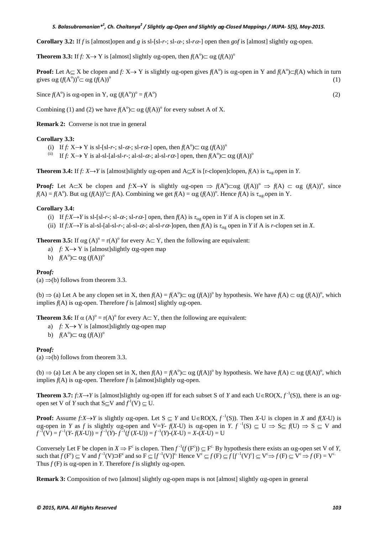**Corollary 3.2:** If *f* is [almost]open and *g* is sl-[sl-*r*-; sl- $\alpha$ -; sl- $\alpha$ -] open then *gof* is [almost] slightly  $\alpha$ g-open.

**Theorem 3.3:** If *f:*  $X \rightarrow Y$  is [almost] slightly  $\alpha$ g-open, then  $f(A^{\circ}) \subset \alpha g (f(A))^{\circ}$ 

**Proof:** Let  $A \subseteq X$  be clopen and *f:*  $X \to Y$  is slightly  $\alpha g$ -open gives  $f(A^{\circ})$  is  $\alpha g$ -open in Y and  $f(A^{\circ}) \subset f(A)$  which in turn gives  $\alpha$ g  $(f(A^{\circ}))^{\circ} \subset \alpha$ g  $(f(A))^{\circ}$ (1)

Since  $f(A^{\circ})$  is  $\alpha$ g-open in Y,  $\alpha$ g  $(f(A^{\circ}))^{\circ} = f(A^{\circ})$  $)$  (2)

Combining (1) and (2) we have  $f(A^{\circ}) \subset \alpha g (f(A))^{\circ}$  for every subset A of X.

**Remark 2:** Converse is not true in general

#### **Corollary 3.3:**

- (i) If  $f: X \to Y$  is sl-[sl-r-; sl- $\alpha$ -; sl- $r\alpha$ -] open, then  $f(A^{\circ}) \subset \alpha g (f(A))^{\circ}$
- (ii) If  $f: X \rightarrow Y$  is al-sl-[al-sl-*r*-; al-sl- $\alpha$ -; al-sl- $r\alpha$ -] open, then  $f(A^{\circ}) \subset \alpha g (f(A))^{\circ}$

**Theorem 3.4:** If  $f: X \rightarrow Y$  is [almost]slightly  $\alpha g$ -open and A $\subset X$  is [r-clopen]clopen,  $f(A)$  is  $\tau_{\alpha g}$ -open in *Y*.

**Proof:** Let A⊂X be clopen and  $f: X \to Y$  is slightly  $\alpha g$ -open  $\Rightarrow f(A^{\circ}) \subset \alpha g$   $(f(A))^{\circ} \Rightarrow f(A) \subset \alpha g$   $(f(A))^{\circ}$ , since  $f(A) = f(A^{\circ})$ . But  $\alpha g (f(A))^{\circ} \subset f(A)$ . Combining we get  $f(A) = \alpha g (f(A))^{\circ}$ . Hence  $f(A)$  is  $\tau_{\alpha g}$ -open in Y.

#### **Corollary 3.4:**

- (i) If  $f: X \rightarrow Y$  is sl-[sl-*r*-; sl- $\alpha$ -; sl- $r\alpha$ -] open, then  $f(A)$  is  $\tau_{\alpha g}$  open in *Y* if A is clopen set in *X*.
- (ii) If  $f: X \rightarrow Y$  is al-sl-[al-sl-*r*-; al-sl- $\alpha$ -; al-sl- $\alpha$ <sup>-</sup>]open, then  $f(A)$  is  $\tau_{\alpha}$  open in *Y* if A is *r*-clopen set in *X*.

**Theorem 3.5:** If  $\alpha g(A)^{\circ} = r(A)^{\circ}$  for every A $\subset Y$ , then the following are equivalent:

- a) *f:* X→ Y is [almost]slightly αg*-*open map
- b)  $f(A^{\circ}) \subset \alpha g (f(A))^{\circ}$

### **Proo***f:*

(a)  $\Rightarrow$  (b) follows from theorem 3.3.

(b)  $\Rightarrow$  (a) Let A be any clopen set in X, then  $f(A) = f(A^0) \subset \alpha g (f(A))^0$  by hypothesis. We have  $f(A) \subset \alpha g (f(A))^0$ , which implies *f*(A) is αg*-*open. Therefore *f* is [almost] slightly αg*-*open.

**Theorem 3.6:** If  $\alpha(A)^{\circ} = r(A)^{\circ}$  for every A $\subset$  Y, then the following are equivalent:

- a) *f:* X→ Y is [almost]slightly αg*-*open map
- b)  $f(A^{\circ}) \subset \alpha g (f(A))^{\circ}$

#### **Proo***f:*

(a)  $\Rightarrow$  (b) follows from theorem 3.3.

(b)  $\Rightarrow$  (a) Let A be any clopen set in X, then  $f(A) = f(A^{\circ}) \subset \alpha g (f(A))^{\circ}$  by hypothesis. We have  $f(A) \subset \alpha g (f(A))^{\circ}$ , which implies *f*(A) is αg*-*open. Therefore *f* is [almost]slightly αg*-*open.

**Theorem 3.7:**  $f: X \to Y$  is [almost]slightly  $\alpha$ g-open iff for each subset S of *Y* and each  $U \in RO(X, f^{-1}(S))$ , there is an  $\alpha$ gopen set V of *Y* such that  $S \subseteq V$  and  $f^1(V) \subseteq U$ .

**Proof:** Assume  $f: X \to Y$  is slightly  $\alpha g$ -open. Let  $S \subseteq Y$  and  $U \in RO(X, f^{-1}(S))$ . Then  $X$ -U is clopen in  $X$  and  $f(X-U)$  is  $\alpha$ g-open in *Y* as *f* is slightly  $\alpha$ g-open and V=*Y*- *f*(*X*-U) is  $\alpha$ g-open in *Y*. *f*<sup>-1</sup>(S)  $\subseteq U \Rightarrow S \subseteq f(U) \Rightarrow S \subseteq V$  and  $f^{-1}(V) = f^{-1}(Y - f(X-U)) = f^{-1}(Y) - f^{-1}(f(X-U)) = f^{-1}(Y) - (X-U) = X - (X-U) = U$ 

Conversely Let F be clopen in  $X \Rightarrow F^c$  is clopen. Then  $f^{-1}(f(F^c)) \subseteq F^c$ . By hypothesis there exists an  $\alpha g$ -open set V of *Y*, such that  $f(F^c) \subseteq V$  and  $f^{-1}(V) \supset F^c$  and so  $F \subseteq [f^{-1}(V)]^c$ . Hence  $V^c \subseteq f(F) \subseteq f[f^{-1}(V)^c] \subseteq V^c \Rightarrow f(F) \subseteq V^c \Rightarrow f(F) = V^c$ . Thus  $f(F)$  is  $\alpha$ g-open in *Y*. Therefore *f* is slightly  $\alpha$ g-open.

**Remark 3:** Composition of two [almost] slightly αg*-*open maps is not [almost] slightly αg*-*open in general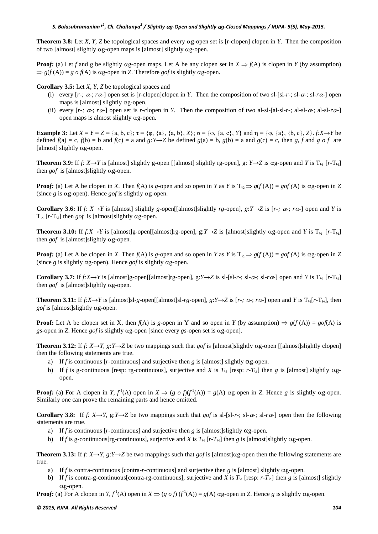**Theorem 3.8:** Let *X*, *Y*, *Z* be topological spaces and every αg*-*open set is [r-clopen] clopen in *Y*. Then the composition of two [almost] slightly αg*-*open maps is [almost] slightly αg*-*open.

**Proof:** (a) Let *f* and g be slightly  $\alpha$ g-open maps. Let A be any clopen set in  $X \Rightarrow f(A)$  is clopen in *Y* (by assumption)  $\Rightarrow$  *g*(*f*(A)) = *g o f*(A) is αg-open in *Z*. Therefore *gof* is slightly αg-open.

**Corollary 3.5:** Let *X*, *Y*, *Z* be topological spaces and

- (i) every  $[r-$ ;  $\alpha$ -;  $r\alpha$ -] open set is [r-clopen]clopen in *Y*. Then the composition of two sl-[sl-*r-*; sl- $\alpha$ -; sl- $\alpha$ -] open maps is [almost] slightly αg*-*open.
- (ii) every  $[r-$ ;  $\alpha$ -;  $r\alpha$ -] open set is *r*-clopen in *Y*. Then the composition of two al-sl-[al-sl-*r-*; al-sl- $\alpha$ -; al-sl- $r\alpha$ -] open maps is almost slightly αg*-*open.

**Example 3:** Let  $X = Y = Z = \{a, b, c\}$ ;  $\tau = \{\varphi, \{a\}, \{a, b\}, X\}$ ;  $\sigma = \{\varphi, \{a, c\}, Y\}$  and  $\eta = \{\varphi, \{a\}, \{b, c\}, Z\}$ . *f:X*→*Y* be defined  $f(a) = c$ ,  $f(b) = b$  and  $f(c) = a$  and  $g: Y \rightarrow Z$  be defined  $g(a) = b$ ,  $g(b) = a$  and  $g(c) = c$ , then *g*, *f* and *g o f* are [almost] slightly αg*-*open.

**Theorem 3.9:** If *f:*  $X \rightarrow Y$  is [almost] slightly g-open [[almost] slightly rg-open], g:  $Y \rightarrow Z$  is  $\alpha$ g-open and *Y* is  $T_{\nu_2}$  [*r*- $T_{\nu_2}$ ] then *gof* is [almost]slightly αg*-*open.

**Proof:** (a) Let A be clopen in *X*. Then  $f(A)$  is *g*-open and so open in *Y* as *Y* is T<sub>1/</sub>  $\Rightarrow$  *g*( $f(A)$ ) = *gof* (A) is αg-open in *Z* (since *g* is αg*-*open). Hence *gof* is slightly αg*-*open.

**Corollary 3.6:** If  $f: X \rightarrow Y$  is [almost] slightly *g*-open[[almost]slightly *rg*-open],  $g: Y \rightarrow Z$  is  $[r \rightarrow G; r \rightarrow T]$  open and *Y* is T**½** [*r-*T**½**] then *gof* is [almost]slightly αg-open.

**Theorem 3.10:** If  $f: X \rightarrow Y$  is [almost]g-open[[almost]rg-open], g: $Y \rightarrow Z$  is [almost]slightly  $\alpha$ g-open and *Y* is T<sub>1/2</sub> [r-T<sub>1/2</sub>] then *gof* is [almost]slightly αg*-*open.

**Proof:** (a) Let A be clopen in *X*. Then  $f(A)$  is *g*-open and so open in *Y* as *Y* is  $T_{1/2} \Rightarrow g(f(A)) = gof(A)$  is  $\alpha g$ -open in *Z* (since *g* is slightly αg*-*open). Hence *gof* is slightly αg*-*open.

**Corollary 3.7:** If  $f: X \to Y$  is [almost]g-open[[almost]rg-open], g:*Y* $\to Z$  is sl-[sl-*r*-; sl-*ra*-; sl-*ra*-] open and *Y* is  $T_{1/2}$  [*r-* $T_{1/2}$ ] then *gof* is [almost]slightly αg*-*open.

**Theorem 3.11:** If  $f: X \to Y$  is [almost]sl-g-open[[almost]sl-g-open],  $g: Y \to Z$  is [r-;  $\alpha$ ;  $r\alpha$ ] open and Y is  $T_{1/2}[r-T_{1/2}]$ , then *gof* is [almost]slightly αg*-*open.

**Proof:** Let A be clopen set in X, then  $f(A)$  is *g*-open in Y and so open in *Y* (by assumption)  $\Rightarrow g(f(A)) = gof(A)$  is *gs-*open in *Z*. Hence *gof* is slightly αg*-*open [since every *gs*-open set is αg-open].

**Theorem 3.12:** If  $f: X \rightarrow Y$ ,  $g: Y \rightarrow Z$  be two mappings such that  $g \circ f$  is [almost]slightly  $\alpha$ g-open [[almost]slightly clopen] then the following statements are true.

- a) If *f* is continuous [*r*-continuous] and surjective then *g* is [almost] slightly  $\alpha$ *g*-open.
- b) If *f* is g-continuous [resp: rg-continuous], surjective and *X* is  $T_{1/2}$  [resp: *r*- $T_{1/2}$ ] then *g* is [almost] slightly  $\alpha$ gopen.

**Proof:** (a) For A clopen in *Y*,  $f^1(A)$  open in  $X \Rightarrow (g \circ f)(f^1(A)) = g(A)$  ag-open in *Z*. Hence *g* is slightly ag-open. Similarly one can prove the remaining parts and hence omitted.

**Corollary 3.8:** If  $f: X \rightarrow Y$ , g: $Y \rightarrow Z$  be two mappings such that *gof* is sl-[sl-*r*-; sl- $\alpha$ -; sl- $\alpha$ -] open then the following statements are true.

- a) If *f* is continuous [*r-*continuous] and surjective then *g* is [almost]slightly αg-open.
- b) If *f* is g-continuous[rg-continuous], surjective and *X* is  $T_{1/2}$  [*r*- $T_{1/2}$ ] then *g* is [almost]slightly  $\alpha$ g-open.

**Theorem 3.13:** If  $f: X \rightarrow Y$ ,  $g: Y \rightarrow Z$  be two mappings such that  $g \circ f$  is [almost] $\alpha$ g-open then the following statements are true.

- a) If *f* is contra-continuous [contra-*r-*continuous] and surjective then *g* is [almost] slightly αg*-*open.
- b) If *f* is contra-g-continuous[contra-rg-continuous], surjective and *X* is  $T_{\gamma_2}$  [resp: *r*-*T<sub>* $\gamma_2$ ] then *g* is [almost] slightly</sub> αg*-*open.

**Proof:** (a) For A clopen in  $Y, f^1(A)$  open in  $X \Rightarrow (g \circ f)(f^1(A)) = g(A)$  αg-open in *Z*. Hence *g* is slightly αg-open.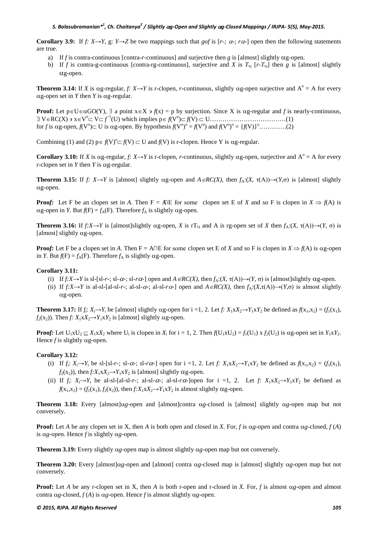**Corollary 3.9:** If  $f: X \rightarrow Y$ , g:  $Y \rightarrow Z$  be two mappings such that *gof* is  $[r \cdot, \alpha \cdot, r\alpha]$  open then the following statements are true.

- a) If *f* is contra-continuous [contra-*r-*continuous] and surjective then *g* is [almost] slightly αg-open.
- b) If *f* is contra-g-continuous [contra-rg-continuous], surjective and *X* is  $T_{1/2}$  [*r-T<sub>1/2</sub>*] then *g* is [almost] slightly αg-open.

**Theorem 3.14:** If *X* is  $\alpha$ g-regular, *f:*  $X \rightarrow Y$  is r-clopen, *r*-continuous, slightly  $\alpha$ g-open surjective and  $A^{\circ} = A$  for every αg*-*open set in *Y* then *Y* is αg*-*regular.

**Proof:** Let  $p \in U \in \alpha GO(Y)$ ,  $\exists$  a point  $x \in X \ni f(x) = p$  by surjection. Since X is  $\alpha g$ -regular and *f* is nearly-continuous, ∃ V∈RC(X) ∋ x∈V<sup>o</sup> ⊂ V⊂ *f* -1 (U) which implies p∈ *f*(V<sup>o</sup> )⊂ *f*(V) ⊂ U………………………………(1) for *f* is αg*-*open, *f*(V<sup>o</sup> )⊂ U is αg*-*open. By hypothesis *f*(V<sup>o</sup> ) <sup>o</sup> = *f*(V<sup>o</sup> ) and *f*(V<sup>o</sup> ) <sup>o</sup> = {*f*(V)}<sup>o</sup> ………….(2)

Combining (1) and (2)  $p \in f(V)^{\circ} \subset f(V) \subset U$  and  $f(V)$  is r-clopen. Hence Y is  $\alpha$ g-regular.

**Corollary 3.10:** If *X* is  $\alpha$ g-regular, *f*: *X*→*Y* is r-clopen, *r*-continuous, slightly  $\alpha$ g-open, surjective and A<sup>o</sup> = A for every r-clopen set in *Y* then *Y* is αg*-*regular.

**Theorem 3.15:** If *f:*  $X \rightarrow Y$  is [almost] slightly  $\alpha g$ -open and  $A \in RC(X)$ , then  $f_A:(X, \tau(A)) \rightarrow (Y, \sigma)$  is [almost] slightly αg*-*open.

**Proof:** Let F be an clopen set in *A*. Then  $F = A\Omega E$  for some clopen set E of *X* and so F is clopen in  $X \Rightarrow f(A)$  is  $\alpha$ g-open in *Y*. But *f*(F) = *f*<sub>A</sub>(F). Therefore *f*<sub>A</sub> is slightly  $\alpha$ g-open.

**Theorem 3.16:** If  $f: X \to Y$  is [almost]slightly  $\alpha g$ -open, *X* is  $rT_{1/2}$  and A is rg-open set of *X* then  $f_A: (X, \tau(A)) \to (Y, \sigma)$  is [almost] slightly αg*-*open.

**Proof:** Let F be a clopen set in *A*. Then  $F = A \cap E$  for some clopen set E of *X* and so F is clopen in  $X \Rightarrow f(A)$  is  $\alpha g$ -open in *Y*. But  $f(F) = f_A(F)$ . Therefore  $f_A$  is slightly  $\alpha$ g-open.

#### **Corollary 3.11:**

- (i) If  $f: X \to Y$  is sl-[sl-*r*-; sl- $\alpha$ -; sl- $\alpha$ <sup>2</sup>) open and  $A \in RC(X)$ , then  $f_A:(X, \tau(A)) \to (Y, \sigma)$  is [almost]slightly  $\alpha$ g-open.
- (ii) If  $f: X \rightarrow Y$  is al-sl-[al-sl-*r*-; al-sl- $\alpha$ -; al-sl- $\alpha$ <sup>2</sup>) open and  $A \in RC(X)$ , then  $f_A:(X, \tau(A)) \rightarrow (Y, \sigma)$  is almost slightly αg-open.

**Theorem 3.17:** If  $f_i: X_i \to Y_i$  be [almost] slightly  $\alpha g$ -open for i =1, 2. Let  $f: X_1 \times X_2 \to Y_1 \times Y_2$  be defined as  $f(x_1, x_2) = (f_1(x_1), f_2(x_2))$  $f_2(x_2)$ ). Then *f*:  $X_1 \times X_2 \rightarrow Y_1 \times Y_2$  is [almost] slightly  $\alpha$ g-open.

**Proof:** Let  $U_1 \times U_2 \subseteq X_1 \times X_2$  where  $U_i$  is clopen in  $X_i$  for  $i = 1, 2$ . Then  $f(U_1 \times U_2) = f_1(U_1) \times f_2(U_2)$  is  $\alpha$ g-open set in  $Y_1 \times Y_2$ . Hence *f* is slightly αg*-*open.

#### **Corollary 3.12:**

- (i) If  $f_i: X_i \rightarrow Y_i$  be sl-[sl-r-; sl- $\alpha$ -; sl-r $\alpha$ -] open for i =1, 2. Let  $f: X_1 \times X_2 \rightarrow Y_1 \times Y_2$  be defined as  $f(x_1, x_2) = (f_1(x_1),$  $f_2(x_2)$ , then  $f: X_1 \times X_2 \rightarrow Y_1 \times Y_2$  is [almost] slightly  $\alpha$ g-open.
- (ii) If  $f_i: X_i \rightarrow Y_i$  be al-sl-[al-sl-*r*-; al-sl- $\alpha$ -; al-sl- $r\alpha$ -]open for i =1, 2. Let  $f: X_1 \times X_2 \rightarrow Y_1 \times Y_2$  be defined as  $f(x_1, x_2) = (f_1(x_1), f_2(x_2))$ , then  $f: X_1 \times X_2 \rightarrow Y_1 \times Y_2$  is almost slightly  $\alpha$ g-open.

**Theorem 3.18:** Every [almost]α*g*-open and [almost]contra α*g*-closed is [almost] slightly α*g*-open map but not conversely.

**Proof:** Let *A* be any clopen set in X, then *A* is both open and closed in *X.* For, *f* is α*g*-open and contra α*g*-closed, *f* (*A*) is α*g*-open. Hence *f* is slightly α*g*-open.

**Theorem 3.19:** Every slightly α*g*-open map is almost slightly α*g*-open map but not conversely.

**Theorem 3.20:** Every [almost]α*g*-open and [almost] contra α*g*-closed map is [almost] slightly α*g*-open map but not conversely.

**Proof:** Let *A* be any r-clopen set in X, then *A* is both r-open and r-closed in *X.* For, *f* is almost α*g*-open and almost contra  $\alpha$ *g*-closed, *f* (*A*) is  $\alpha$ *g*-open. Hence *f* is almost slightly  $\alpha$ *g*-open.

#### *© 2015, RJPA. All Rights Reserved 105*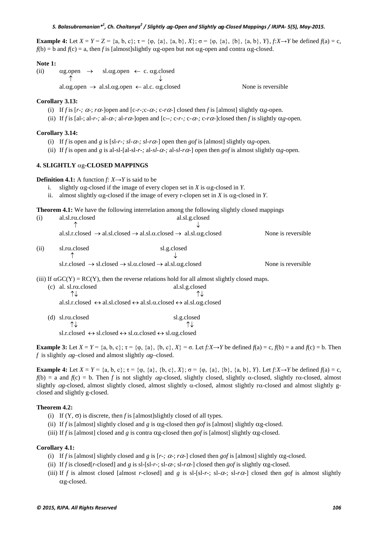**Example 4:** Let  $X = Y = Z = \{a, b, c\}$ ;  $\tau = \{\varphi, \{a\}, \{a, b\}, X\}$ ;  $\sigma = \{\varphi, \{a\}, \{b\}, \{a, b\}, Y\}$ ,  $f:X \rightarrow Y$  be defined  $f(a) = c$ ,  $f(b) = b$  and  $f(c) = a$ , then *f* is [almost]slightly αg-open but not αg-open and contra αg-closed.

#### **Note 1:**

(ii)  $\alpha$ g.open  $\rightarrow$  sl. $\alpha$ g.open  $\leftarrow$  c.  $\alpha$ g.closed  $\uparrow$   $\downarrow$ al. $\alpha$ g.open  $\rightarrow$  al.sl. $\alpha$ g.open  $\leftarrow$  al.c.  $\alpha$ g.closed None is reversible

**Corollary 3.13:** 

(i) If *f* is [*r-*;  $\alpha$ -;  $r\alpha$ -]open and [c-*r*-; c- $\alpha$ -; c- $r\alpha$ -] closed then *f* is [almost] slightly  $\alpha$ *g*-open.

(ii) If *f* is [al-; al-*r-*; al- $\alpha$ -; al- $r\alpha$ -]open and [c--; c-*r-*; c- $\alpha$ -; c- $r\alpha$ -]closed then *f* is slightly  $\alpha$ *g*-open.

#### **Corollary 3.14:**

- (i) If *f* is open and *g* is  $[sl-r-$ ;  $sl-r\alpha$ -;  $sl-r\alpha$ -] open then *gof* is [almost] slightly  $\alpha$ *g*-open.
- (ii) If *f* is open and *g* is al-sl-[al-sl-*r*-; al-*sl-α*-; al-*sl-rα*-] open then *gof* is almost slightly  $\alpha$ *g*-open.

#### **4. SLIGHTLY** αg*-***CLOSED MAPPINGS**

**Definition 4.1:** A function *f:*  $X \rightarrow Y$  is said to be

- i. slightly αg*-*closed if the image of every clopen set in *X* is αg*-*closed in *Y*.
- ii. almost slightly αg*-*closed if the image of every r-clopen set in *X* is αg*-*closed in *Y*.

**Theorem 4.1:** We have the following interrelation among the following slightly closed mappings

| (i)  | $a1.s1.r\alpha$ .closed       | al.sl.g.closed                                                                                                                     |                     |
|------|-------------------------------|------------------------------------------------------------------------------------------------------------------------------------|---------------------|
|      |                               |                                                                                                                                    |                     |
|      |                               | al.sl.r.closed $\rightarrow$ al.sl.closed $\rightarrow$ al.sl. $\alpha$ .closed $\rightarrow$ al.sl. $\alpha$ g.closed             | None is reversible  |
| (ii) | $sl.r\alpha$ .closed          | sl.g.closed                                                                                                                        |                     |
|      |                               |                                                                                                                                    |                     |
|      |                               | sl.r.closed $\rightarrow$ sl.closed $\rightarrow$ sl. $\alpha$ .closed $\rightarrow$ al.sl. $\alpha$ g.closed                      | None is reversible. |
|      |                               | (iii) If $\alpha$ GC(Y) = RC(Y), then the reverse relations hold for all almost slightly closed maps.                              |                     |
|      | (c) al. sl.r $\alpha$ .closed | al.sl.g.closed                                                                                                                     |                     |
|      |                               |                                                                                                                                    |                     |
|      |                               | al.sl.r.closed $\leftrightarrow$ al.sl.closed $\leftrightarrow$ al.sl. $\alpha$ .closed $\leftrightarrow$ al.sl. $\alpha$ g.closed |                     |

(d) sl.r $\alpha$ .closed sl.g.closed sl.g.closed sl.g.closed  $\uparrow \downarrow$  ↑↓ ↑↓ sl.r.closed  $\leftrightarrow$  sl.closed  $\leftrightarrow$  sl. $\alpha$ .closed  $\leftrightarrow$  sl. $\alpha$ g.closed

**Example 3:** Let  $X = Y = \{a, b, c\}$ ;  $\tau = \{p, \{a\}, \{b, c\}, X\} = \sigma$ . Let  $f: X \rightarrow Y$  be defined  $f(a) = c$ ,  $f(b) = a$  and  $f(c) = b$ . Then *f* is slightly α*g–*closed and almost slightly α*g–*closed.

**Example 4:** Let  $X = Y = \{a, b, c\}$ ;  $\tau = \{\varphi, \{a\}, \{b, c\}, X\}$ ;  $\sigma = \{\varphi, \{a\}, \{b\}, \{a, b\}, Y\}$ . Let  $f: X \rightarrow Y$  be defined  $f(a) = c$ ,  $f(b) = a$  and  $f(c) = b$ . Then *f* is not slightly  $\alpha$ *g*-closed, slightly closed, slightly  $\alpha$ -closed, slightly r $\alpha$ -closed, almost slightly α*g-*closed, almost slightly closed, almost slightly α-closed, almost slightly rα-closed and almost slightly gclosed and slightly g-closed.

#### **Theorem 4.2:**

- (i) If  $(Y, \sigma)$  is discrete, then *f* is [almost]slightly closed of all types.
- (ii) If *f* is [almost] slightly closed and *g* is αg*-*closed then *gof* is [almost] slightly αg*-*closed.

(iii) If *f* is [almost] closed and *g* is contra αg*-*closed then *gof* is [almost] slightly αg*-*closed.

#### **Corollary 4.1:**

- (i) If *f* is [almost] slightly closed and *g* is  $[r-$ ;  $\alpha$ -;  $r\alpha$ -] closed then *gof* is [almost] slightly  $\alpha$ *g*-closed.
- (ii) If *f* is closed[*r*-closed] and *g* is sl-[sl-*r*-; sl- $\alpha$ -; sl- $\alpha$ <sup>-</sup>] closed then *gof* is slightly  $\alpha$ g-closed.
- (iii) If f is almost closed [almost r-closed] and g is sl-[sl-r-; sl- $\alpha$ -; sl- $\alpha$ -; closed then gof is almost slightly αg-closed.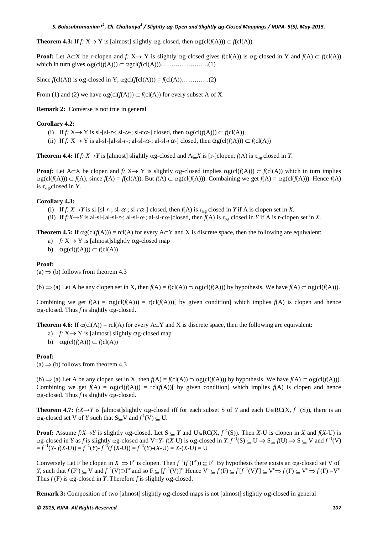**Theorem 4.3:** If  $f: X \to Y$  is [almost] slightly  $\alpha g$ -closed, then  $\alpha g(cl(f(A))) \subset f(cl(A))$ 

**Proof:** Let A⊂X be r-clopen and *f:*  $X \rightarrow Y$  is slightly  $\alpha g$ -closed gives  $f(c(A))$  is  $\alpha g$ -closed in Y and  $f(A) \subset f(c(A))$ which in turn gives  $\alpha g(cl(f(A))) \subset \alpha g cl(f(cl(A)))$ ……………………….(1)

Since  $f(cl(A))$  is  $\alpha g$ -closed in Y,  $\alpha g cl(f(cl(A))) = f(cl(A))$ ………..(2)

From (1) and (2) we have  $\alpha g(cl(f(A))) \subset f(cl(A))$  for every subset A of X.

#### **Remark 2:** Converse is not true in general

#### **Corollary 4.2:**

- (i) If  $f: X \rightarrow Y$  is sl-[sl-r-; sl- $\alpha$ -; sl- $r\alpha$ -] closed, then  $\alpha g(cl(f(A))) \subset f(cl(A))$
- (ii) If  $f: X \rightarrow Y$  is al-sl-[al-sl-*r*-; al-sl- $\alpha$ -; al-sl- $\alpha$ <sup>2</sup>] closed, then  $\alpha g(cl(f(A))) \subset f(cl(A))$

**Theorem 4.4:** If *f:*  $X \rightarrow Y$  is [almost] slightly  $\alpha$ g-closed and  $A \subseteq X$  is [r-]clopen,  $f(A)$  is  $\tau_{\alpha}$ -closed in *Y*.

**Proof:** Let  $A \subset X$  be clopen and  $f: X \to Y$  is slightly  $\alpha g$ -closed implies  $\alpha g(cl(f(A))) \subset f(cl(A))$  which in turn implies  $\alpha g(cl(f(A))) \subset f(A)$ , since  $f(A) = f(cl(A))$ . But  $f(A) \subset \alpha g(cl(f(A)))$ . Combaining we get  $f(A) = \alpha g(cl(f(A)))$ . Hence  $f(A)$ is ταg*-*closed in Y.

#### **Corollary 4.3:**

- (i) If  $f: X \rightarrow Y$  is sl-[sl-r-; sl- $\alpha$ -; sl-r $\alpha$ -] closed, then  $f(A)$  is  $\tau_{\alpha\alpha}$  closed in *Y* if A is clopen set in *X*.
- (ii) If  $f: X \to Y$  is al-sl- $a$ -sl- $r$ -; al-sl- $\alpha$ -; al-sl- $r\alpha$ -]closed, then  $f(A)$  is  $\tau_{\alpha\alpha}$  closed in *Y* if A is r-clopen set in *X*.

**Theorem 4.5:** If  $\alpha g(cl(f(A))) = rel(A)$  for every A⊂Y and X is discrete space, then the following are equivalent:

- a)  $f: X \rightarrow Y$  is [almost]slightly  $\alpha$ g-closed map
- b)  $\alpha g(cl(f(A))) \subset f(cl(A))$

#### **Proof:**

 $(a) \Rightarrow$  (b) follows from theorem 4.3

(b)  $\Rightarrow$  (a) Let A be any clopen set in X, then *f*(A) = *f*(cl(A))  $\Rightarrow$  αg(cl(*f*(A))) by hypothesis. We have *f*(A) ⊂ αg(cl(*f*(A))).

Combining we get  $f(A) = \alpha g(cl(f(A))) = r(cl(f(A)))$  by given condition] which implies  $f(A)$  is clopen and hence αg*-*closed. Thus *f* is slightly αg*-*closed.

**Theorem 4.6:** If  $\alpha$ (cl(A)) = rcl(A) for every A $\subset$ Y and X is discrete space, then the following are equivalent:

- a) *f*:  $X \rightarrow Y$  is [almost] slightly  $\alpha$ g-closed map
- b)  $\alpha g(cl(f(A))) \subset f(cl(A))$

#### **Proof:**

(a)  $\Rightarrow$  (b) follows from theorem 4.3

(b)  $\Rightarrow$  (a) Let A be any clopen set in X, then *f*(A) = *f*(cl(A))  $\Rightarrow$  αg(cl(*f*(A))) by hypothesis. We have *f*(A) ⊂ αg(cl(*f*(A))). Combining we get  $f(A) = \alpha g(cl(f(A))) = rel(f(A))$ [ by given condition] which implies  $f(A)$  is clopen and hence αg*-*closed. Thus *f* is slightly αg*-*closed.

**Theorem 4.7:**  $f: X \to Y$  is [almost]slightly  $\alpha g$ -closed iff for each subset S of *Y* and each  $U \in RC(X, f^{-1}(S))$ , there is an  $\alpha$ g-closed set V of *Y* such that S $\subseteq$ V and  $f'$ <sup>1</sup>(V)  $\subseteq$  U.

**Proof:** Assume  $f: X \to Y$  is slightly  $\alpha g$ -closed. Let  $S \subseteq Y$  and  $U \in RC(X, f^{-1}(S))$ . Then *X*-U is clopen in *X* and  $f(X-U)$  is  $\alpha$ g-closed in *Y* as *f* is slightly  $\alpha$ g-closed and V=*Y*- *f*(*X*-U) is  $\alpha$ g-closed in *Y*. *f*<sup>-1</sup>(S)  $\subseteq$  U  $\Rightarrow$  S $\subseteq$  *f*(U)  $\Rightarrow$  S  $\subseteq$  V and *f*<sup>-1</sup>(V)  $=f^{-1}(Y - f(X - U)) = f^{-1}(Y) - f^{-1}(f(X - U)) = f^{-1}(Y) - (X - U) = X - (X - U) = U$ 

Conversely Let F be clopen in  $X \Rightarrow F^c$  is clopen. Then  $f^{-1}(f(F^c)) \subseteq F^c$ . By hypothesis there exists an  $\alpha$ g-closed set V of *Y*, such that  $f(F^c) \subseteq V$  and  $f^{-1}(V) \supset F^c$  and so  $F \subseteq [f^{-1}(V)]^c$ . Hence  $V^c \subseteq f(F) \subseteq f[f^{-1}(V)^c] \subseteq V^c \Rightarrow f(F) \subseteq V^c \Rightarrow f(F) = V^c$ . Thus  $f(F)$  is ag-closed in *Y*. Therefore *f* is slightly ag-closed.

**Remark 3:** Composition of two [almost] slightly αg*-*closed maps is not [almost] slightly αg*-*closed in general

#### *© 2015, RJPA. All Rights Reserved 107*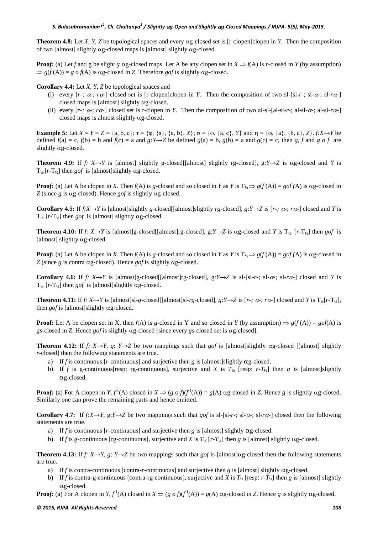**Theorem 4.8:** Let *X*, *Y*, *Z* be topological spaces and every αg*-*closed set is [r-clopen]clopen in *Y*. Then the composition of two [almost] slightly αg*-*closed maps is [almost] slightly αg*-*closed.

**Proof:** (a) Let *f* and g be slightly  $\alpha$ g-closed maps. Let A be any clopen set in  $X \Rightarrow f(A)$  is *r*-closed in *Y* (by assumption)  $\Rightarrow$  *g*(*f*(A)) = *g o f*(A) is αg-closed in *Z*. Therefore *gof* is slightly αg-closed.

**Corollary 4.4:** Let *X*, *Y*, *Z* be topological spaces and

- (i) every  $[r-$ ;  $\alpha$ -;  $r\alpha$ -] closed set is [r-clopen]clopen in *Y*. Then the composition of two sl-[sl-*r*-; sl- $\alpha$ -; sl- $r\alpha$ -] closed maps is [almost] slightly αg*-*closed.
- (ii) every  $[r, \alpha, r, \alpha]$  closed set is r-clopen in *Y*. Then the composition of two al-sl-[al-sl-*r*; al-sl- $\alpha$ ; al-sl- $r\alpha$ -] closed maps is almost slightly αg*-*closed.

**Example 5:** Let  $X = Y = Z = \{a, b, c\}$ ;  $\tau = \{\varphi, \{a\}, \{a, b\}, X\}$ ;  $\sigma = \{\varphi, \{a, c\}, Y\}$  and  $\eta = \{\varphi, \{a\}, \{b, c\}, Z\}$ . *f:X*→*Y* be defined  $f(a) = c$ ,  $f(b) = b$  and  $f(c) = a$  and  $g: Y \rightarrow Z$  be defined  $g(a) = b$ ,  $g(b) = a$  and  $g(c) = c$ , then *g*, *f* and *g o f* are slightly αg*-*closed.

**Theorem 4.9:** If *f:*  $X \rightarrow Y$  is [almost] slightly g-closed[[almost] slightly rg-closed], g: $Y \rightarrow Z$  is  $\alpha$ g-closed and *Y* is  $T_{1/2}$  [ $r$ - $T_{1/2}$ ] then *gof* is [almost]slightly  $\alpha$ g-closed.

**Proof:** (a) Let A be clopen in *X*. Then  $f(A)$  is g-closed and so closed in *Y* as *Y* is  $T_A \Rightarrow g(f(A)) = gof(A)$  is  $\alpha g$ -closed in *Z* (since *g* is αg*-*closed). Hence *gof* is slightly αg*-*closed.

**Corollary 4.5:** If  $f: X \to Y$  is [almost]slightly *g*-closed[[almost]slightly *rg*-closed],  $g: Y \to Z$  is  $[r \to \alpha \to r\alpha]$  closed and *Y* is T**½** [*r-*T**½**] then *gof* is [almost] slightly αg-closed.

**Theorem 4.10:** If  $f: X \rightarrow Y$  is [almost]g-closed[[almost]rg-closed], g: $Y \rightarrow Z$  is  $\alpha$ g-closed and *Y* is  $T_{1/2}$  [*r*- $T_{1/2}$ ] then *gof* is [almost] slightly αg*-*closed.

**Proof:** (a) Let A be clopen in *X*. Then  $f(A)$  is *g*-closed and so closed in *Y* as *Y* is  $T_A \Rightarrow g(f(A)) = gof(A)$  is  $\alpha g$ -closed in *Z* (since *g* is contra αg*-*closed). Hence *gof* is slightly αg*-*closed.

**Corollary 4.6:** If *f:*  $X \rightarrow Y$  is [almost]g-closed[[almost]rg-closed], g:*Y* $\rightarrow$ *Z* is sl-[sl-*r*-; sl- $\alpha$ -; sl- $\alpha$ -] closed and *Y* is T**½** [*r-*T**½**] then *gof* is [almost]slightly αg*-*closed.

**Theorem 4.11:** If f:  $X \rightarrow Y$  is [almost]sl-g-closed[[almost]sl-rg-closed], g:Y $\rightarrow$ Z is [r-;  $\alpha$ -;  $\alpha$ -] closed and Y is  $T_{1/2}$ [r-T<sub>1/3</sub>], then *gof* is [almost]slightly αg*-*closed.

**Proof:** Let A be clopen set in X, then  $f(A)$  is *g*-closed in Y and so closed in Y (by assumption)  $\Rightarrow g(f(A)) = gof(A)$  is *gs-*closed in *Z*. Hence *gof* is slightly αg*-*closed [since every *gs*-closed set is αg-closed].

**Theorem 4.12:** If  $f: X \rightarrow Y$ ,  $g: Y \rightarrow Z$  be two mappings such that *gof* is [almost]slightly  $\alpha$ *g-closed* [[almost] slightly *r-*closed] then the following statements are true.

- a) If *f* is continuous [*r-*continuous] and surjective then *g* is [almost]slightly αg*-*closed.
- b) If *f* is g-continuous[resp: rg-continuous], surjective and *X* is  $T_{1/2}$  [resp: *r-T<sub>1/2</sub>*] then *g* is [almost]slightly αg*-*closed.

**Proof:** (a) For A clopen in  $Y, f^1(A)$  closed in  $X \Rightarrow (g \circ f)(f^1(A)) = g(A)$  ag-closed in *Z*. Hence *g* is slightly ag-closed. Similarly one can prove the remaining parts and hence omitted.

**Corollary 4.7:** If  $f: X \rightarrow Y$ ,  $g: Y \rightarrow Z$  be two mappings such that *gof* is sl-[sl-*r-*; sl- $\alpha$ -; sl- $\alpha$ -] closed then the following statements are true.

- a) If *f* is continuous [*r-*continuous] and surjective then *g* is [almost] slightly αg-closed.
- b) If *f* is g-continuous [rg-continuous], surjective and *X* is  $T_{1/2}$  [*r*- $T_{1/2}$ ] then *g* is [almost] slightly  $\alpha$ g-closed.

**Theorem 4.13:** If  $f: X \rightarrow Y$ ,  $g: Y \rightarrow Z$  be two mappings such that *gof* is [almost] $\alpha$ g-closed then the following statements are true.

- a) If *f* is contra-continuous [contra-*r-*continuous] and surjective then *g* is [almost] slightly αg*-*closed.
- b) If *f* is contra-g-continuous [contra-rg-continuous], surjective and *X* is  $T_{1/2}$  [resp: *r-T*<sub>1</sub>] then *g* is [almost] slightly αg*-*closed.

**Proof:** (a) For A clopen in *Y*,  $f^1(A)$  closed in  $X \Rightarrow (g \circ f)(f^1(A)) = g(A)$  ag-closed in *Z*. Hence *g* is slightly ag-closed.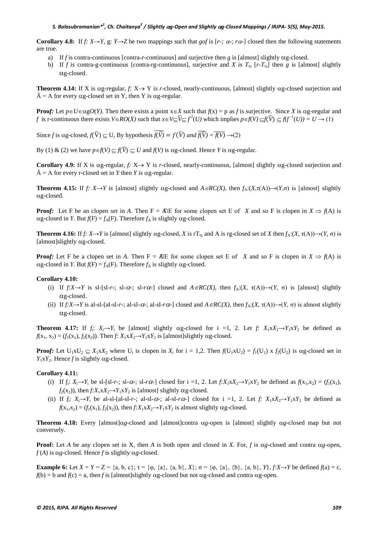**Corollary 4.8:** If  $f: X \rightarrow Y$ , g:  $Y \rightarrow Z$  be two mappings such that *gof* is [ $r: \alpha: Y \rightarrow Z$ ] closed then the following statements are true.

- a) If *f* is contra-continuous [contra-*r-*continuous] and surjective then *g* is [almost] slightly αg-closed.
- b) If *f* is contra-g-continuous [contra-rg-continuous], surjective and *X* is  $T_{1/2}$  [*r-T<sub>1/2</sub>*] then *g* is [almost] slightly αg-closed.

**Theorem 4.14:** If X is  $\alpha$ g-regular,  $f: X \rightarrow Y$  is *r*-closed, nearly-continuous, [almost] slightly  $\alpha$ g-closed surjection and  $\overline{A} = A$  for every  $\alpha$ g-closed set in Y, then Y is  $\alpha$ g-regular.

**Proof:** Let  $p \in U \in \alpha gO(Y)$ . Then there exists a point  $x \in X$  such that  $f(x) = p$  as *f* is surjective. Since *X* is  $\alpha g$ -regular and *f* is r-continuous there exists  $V \in RO(X)$  such that  $x \in V \subseteq \overline{V} \subseteq f^l(U)$  which implies  $p \in f(V) \subseteq f(\overline{V}) \subseteq f(f^{-l}(U)) = U \to (1)$ 

Since *f* is  $\alpha$ g-closed,  $f(\overline{V}) \subseteq U$ , By hypothesis  $f(\overline{V}) = f(\overline{V})$  and  $f(\overline{V}) = \overline{f(V)} \rightarrow (2)$ 

By (1) & (2) we have  $p \in f(V) \subseteq f(\overline{V}) \subseteq U$  and  $f(V)$  is  $\alpha$ g-closed. Hence *Y* is  $\alpha$ g-regular.

**Corollary 4.9:** If X is  $\alpha$ g-regular,  $f: X \rightarrow Y$  is *r*-closed, nearly-continuous, [almost] slightly  $\alpha$ g-closed surjection and  $\overline{A} = A$  for every r-closed set in *Y* then *Y* is  $\alpha$ g-regular.

**Theorem 4.15:** If *f:*  $X \rightarrow Y$  is [almost] slightly αg-closed and  $A \in RC(X)$ , then  $f_A:(X,\tau(A)) \rightarrow (Y,\sigma)$  is [almost] slightly αg*-*closed.

**Proof:** Let F be an clopen set in *A*. Then  $F = A\Omega E$  for some clopen set E of *X* and so F is clopen in  $X \Rightarrow f(A)$  is  $\alpha$ g-closed in *Y*. But *f*(F) = *f*<sub>A</sub>(F). Therefore *f*<sub>A</sub> is slightly  $\alpha$ g-closed.

**Theorem 4.16:** If  $f: X \to Y$  is [almost] slightly  $\alpha g$ -closed, *X* is  $\tau Y_{1/2}$  and A is rg-closed set of *X* then  $f_A:(X, \tau(A)) \to (Y, \sigma)$  is [almost]slightly αg*-*closed.

**Proof:** Let F be a clopen set in *A*. Then  $F = AE$  for some clopen set E of *X* and so F is clopen in  $X \Rightarrow f(A)$  is  $\alpha$ g-closed in *Y*. But *f*(F) = *f*<sub>A</sub>(F). Therefore *f*<sub>A</sub> is slightly  $\alpha$ g-closed.

#### **Corollary 4.10:**

- (i) If  $f: X \to Y$  is sl-[sl-*r*-; sl- $\alpha$ -; sl- $\alpha$ <sup>-</sup>] closed and  $A \in RC(X)$ , then  $f_A:(X, \tau(A)) \to (Y, \sigma)$  is [almost] slightly αg-closed.
- (ii) If  $f: X \rightarrow Y$  is al-sl-[al-sl-*r*-; al-sl- $\alpha$ -; al-sl- $r\alpha$ -] closed and  $A \in RC(X)$ , then  $f_A:(X, \tau(A)) \rightarrow (Y, \sigma)$  is almost slightly αg-closed.

**Theorem 4.17:** If  $f_i: X_i \to Y_i$  be [almost] slightly  $\alpha g$ -closed for i =1, 2. Let  $f: X_1 \times X_2 \to Y_1 \times Y_2$  be defined as  $f(x_1, x_2) = (f_1(x_1), f_2(x_2))$ . Then *f*:  $X_1 \times X_2 \rightarrow Y_1 \times Y_2$  is [almost]slightly  $\alpha$ g-closed.

**Proof:** Let  $U_1 \times U_2 \subseteq X_1 \times X_2$  where  $U_i$  is clopen in  $X_i$  for  $i = 1, 2$ . Then  $f(U_1 \times U_2) = f_1(U_1) \times f_2(U_2)$  is  $\alpha$ g-closed set in  $Y_1XY_2$ . Hence *f* is slightly  $\alpha$ g-closed.

#### **Corollary 4.11:**

- (i) If  $f_i: X_i \to Y_i$  be sl-[sl-*r*-; sl- $\alpha$ -; sl- $\alpha$ 2] closed for i =1, 2. Let  $f: X_1 \times X_2 \to Y_1 \times Y_2$  be defined as  $f(x_1, x_2) = (f_1(x_1), f_2(x_2))$  $f_2(x_2)$ ), then  $f: X_1 \times X_2 \rightarrow Y_1 \times Y_2$  is [almost] slightly  $\alpha$ g-closed.
- (ii) If  $f_i: X_i \rightarrow Y_i$  be al-sl-[al-sl-*r*-; al-sl- $\alpha$ -; al-sl- $\alpha$ <sup>2</sup>] closed for i =1, 2. Let  $f: X_1 \times X_2 \rightarrow Y_1 \times Y_2$  be defined as  $f(x_1, x_2) = (f_1(x_1), f_2(x_2))$ , then  $f: X_1 \times X_2 \rightarrow Y_1 \times Y_2$  is almost slightly  $\alpha$ g-closed.

**Theorem 4.18:** Every [almost] $\alpha$ *g*-closed and [almost]contra  $\alpha$ *g*-open is [almost] slightly  $\alpha$ *g*-closed map but not conversely.

**Proof:** Let *A* be any clopen set in *X*, then *A* is both open and closed in *X*. For, *f* is  $\alpha$ *g*-closed and contra  $\alpha$ *g*-open,  $f(A)$  is  $\alpha g$ -closed. Hence *f* is slightly  $\alpha g$ -closed.

**Example 6:** Let  $X = Y = Z = \{a, b, c\}$ ;  $\tau = \{\varphi, \{a\}, \{a, b\}, X\}$ ;  $\sigma = \{\varphi, \{a\}, \{b\}, \{a, b\}, Y\}$ ,  $f:X \rightarrow Y$  be defined  $f(a) = c$ ,  $f(b) = b$  and  $f(c) = a$ , then *f* is [almost]slightly  $\alpha$ g-closed but not  $\alpha$ g-closed and contra  $\alpha$ g-open.